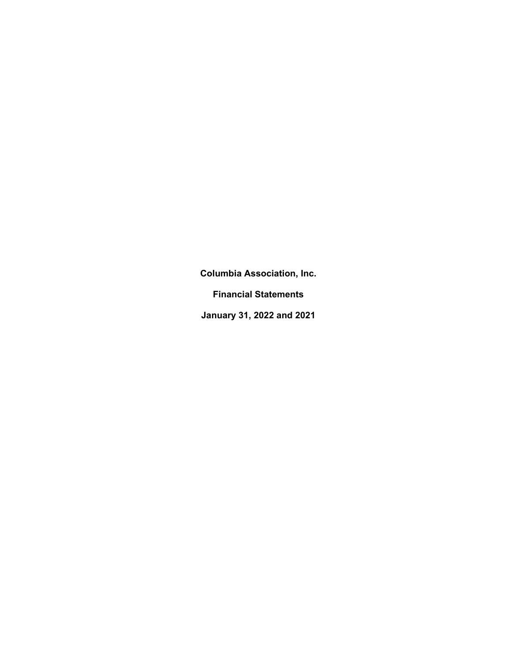**Financial Statements** 

**January 31, 2022 and 2021**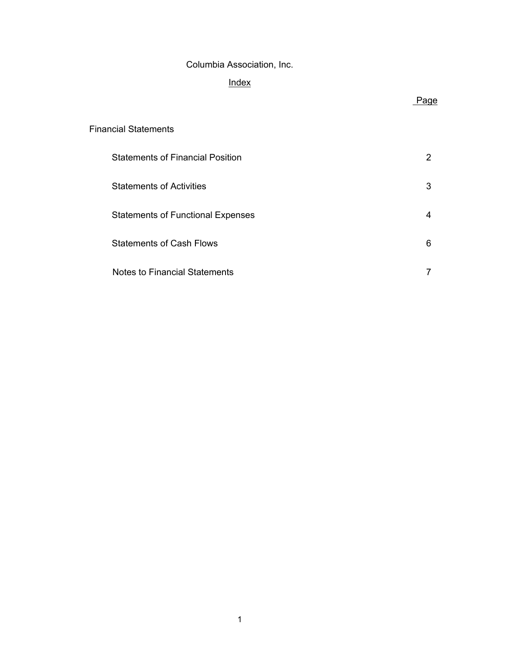# **Index**

# Page

# Financial Statements

| <b>Statements of Financial Position</b>  | 2 |
|------------------------------------------|---|
| <b>Statements of Activities</b>          | 3 |
| <b>Statements of Functional Expenses</b> |   |
| <b>Statements of Cash Flows</b>          | 6 |
| <b>Notes to Financial Statements</b>     |   |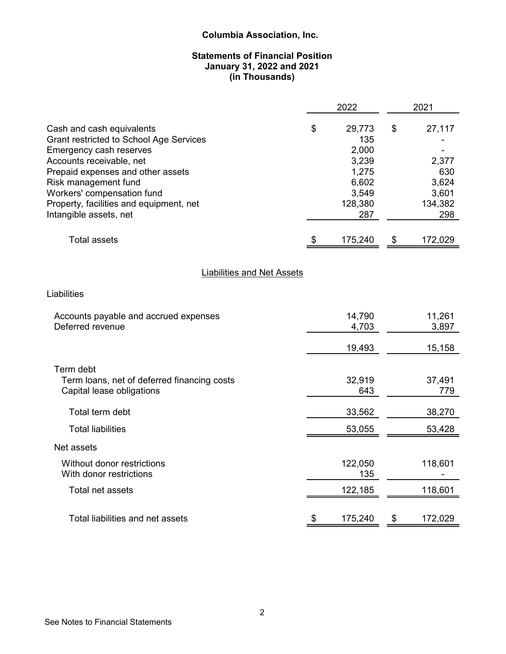# **Statements of Financial Position January 31, 2022 and 2021 (in Thousands)**

|                                                                                                                                                                                                                                                                                             | 2022                                                                               | 2021                                                             |
|---------------------------------------------------------------------------------------------------------------------------------------------------------------------------------------------------------------------------------------------------------------------------------------------|------------------------------------------------------------------------------------|------------------------------------------------------------------|
| Cash and cash equivalents<br>Grant restricted to School Age Services<br>Emergency cash reserves<br>Accounts receivable, net<br>Prepaid expenses and other assets<br>Risk management fund<br>Workers' compensation fund<br>Property, facilities and equipment, net<br>Intangible assets, net | \$<br>29,773<br>135<br>2,000<br>3,239<br>1,275<br>6,602<br>3,549<br>128,380<br>287 | \$<br>27,117<br>2,377<br>630<br>3,624<br>3,601<br>134,382<br>298 |
| <b>Total assets</b>                                                                                                                                                                                                                                                                         | \$<br>175,240                                                                      | \$<br>172,029                                                    |
| <b>Liabilities and Net Assets</b>                                                                                                                                                                                                                                                           |                                                                                    |                                                                  |
| Liabilities                                                                                                                                                                                                                                                                                 |                                                                                    |                                                                  |
| Accounts payable and accrued expenses<br>Deferred revenue                                                                                                                                                                                                                                   | 14,790<br>4,703                                                                    | 11,261<br>3,897                                                  |
|                                                                                                                                                                                                                                                                                             | 19,493                                                                             | 15,158                                                           |
| Term debt<br>Term loans, net of deferred financing costs<br>Capital lease obligations                                                                                                                                                                                                       | 32,919<br>643                                                                      | 37,491<br>779                                                    |
| Total term debt                                                                                                                                                                                                                                                                             | 33,562                                                                             | 38,270                                                           |
| <b>Total liabilities</b>                                                                                                                                                                                                                                                                    | 53,055                                                                             | 53,428                                                           |
| Net assets                                                                                                                                                                                                                                                                                  |                                                                                    |                                                                  |
| Without donor restrictions<br>With donor restrictions                                                                                                                                                                                                                                       | 122,050<br>135                                                                     | 118,601                                                          |
| Total net assets                                                                                                                                                                                                                                                                            | 122,185                                                                            | 118,601                                                          |
| Total liabilities and net assets                                                                                                                                                                                                                                                            | \$<br>175,240                                                                      | \$<br>172,029                                                    |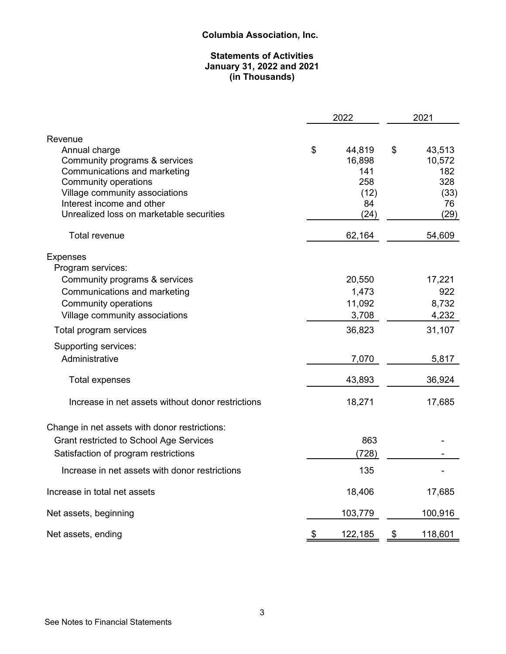# **Statements of Activities January 31, 2022 and 2021 (in Thousands)**

|                                                    | 2022                   | 2021 |                  |  |
|----------------------------------------------------|------------------------|------|------------------|--|
| Revenue                                            |                        |      |                  |  |
| Annual charge<br>Community programs & services     | \$<br>44,819<br>16,898 | \$   | 43,513<br>10,572 |  |
| Communications and marketing                       | 141                    |      | 182              |  |
| <b>Community operations</b>                        | 258                    |      | 328              |  |
| Village community associations                     | (12)                   |      | (33)             |  |
| Interest income and other                          | 84                     |      | 76               |  |
| Unrealized loss on marketable securities           | (24)                   |      | (29)             |  |
| <b>Total revenue</b>                               | 62,164                 |      | 54,609           |  |
| <b>Expenses</b>                                    |                        |      |                  |  |
| Program services:<br>Community programs & services | 20,550                 |      | 17,221           |  |
| Communications and marketing                       | 1,473                  |      | 922              |  |
| <b>Community operations</b>                        | 11,092                 |      | 8,732            |  |
| Village community associations                     | 3,708                  |      | 4,232            |  |
| Total program services                             | 36,823                 |      | 31,107           |  |
| Supporting services:                               |                        |      |                  |  |
| Administrative                                     | 7,070                  |      | 5,817            |  |
| <b>Total expenses</b>                              | 43,893                 |      | 36,924           |  |
| Increase in net assets without donor restrictions  | 18,271                 |      | 17,685           |  |
| Change in net assets with donor restrictions:      |                        |      |                  |  |
| <b>Grant restricted to School Age Services</b>     | 863                    |      |                  |  |
| Satisfaction of program restrictions               | (728)                  |      |                  |  |
| Increase in net assets with donor restrictions     | 135                    |      |                  |  |
| Increase in total net assets                       | 18,406                 |      | 17,685           |  |
| Net assets, beginning                              | 103,779                |      | 100,916          |  |
| Net assets, ending                                 | \$<br>122,185          | \$   | 118,601          |  |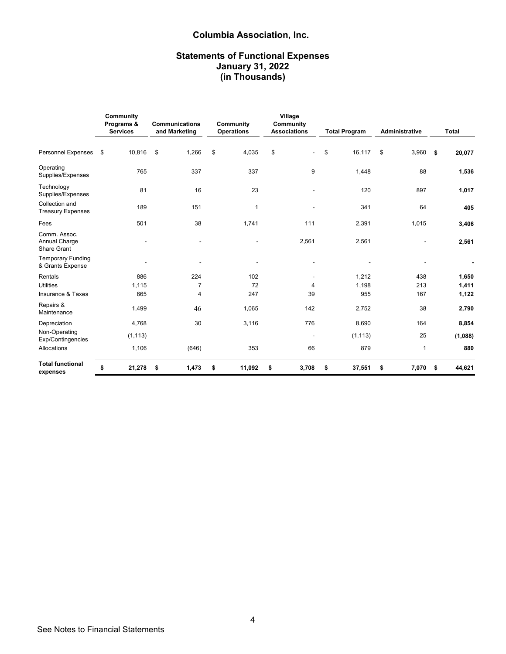# **Statements of Functional Expenses January 31, 2022 (in Thousands)**

|                                                     | Community<br>Programs &<br><b>Services</b> |                          |                |                          |             |              |              |     | Communications<br>and Marketing | Community<br><b>Operations</b> | Village<br>Community<br><b>Associations</b> | <b>Total Program</b> | <b>Administrative</b> |  | <b>Total</b> |
|-----------------------------------------------------|--------------------------------------------|--------------------------|----------------|--------------------------|-------------|--------------|--------------|-----|---------------------------------|--------------------------------|---------------------------------------------|----------------------|-----------------------|--|--------------|
| Personnel Expenses \$                               |                                            | 10,816                   | \$<br>1,266    | \$<br>4,035              | \$          | \$<br>16,117 | \$<br>3,960  | -\$ | 20,077                          |                                |                                             |                      |                       |  |              |
| Operating<br>Supplies/Expenses                      |                                            | 765                      | 337            | 337                      | 9           | 1,448        | 88           |     | 1,536                           |                                |                                             |                      |                       |  |              |
| Technology<br>Supplies/Expenses                     |                                            | 81                       | 16             | 23                       |             | 120          | 897          |     | 1,017                           |                                |                                             |                      |                       |  |              |
| Collection and<br><b>Treasury Expenses</b>          |                                            | 189                      | 151            | 1                        |             | 341          | 64           |     | 405                             |                                |                                             |                      |                       |  |              |
| Fees                                                |                                            | 501                      | 38             | 1,741                    | 111         | 2,391        | 1,015        |     | 3,406                           |                                |                                             |                      |                       |  |              |
| Comm. Assoc.<br>Annual Charge<br><b>Share Grant</b> |                                            | $\overline{\phantom{a}}$ |                | $\overline{\phantom{0}}$ | 2,561       | 2,561        |              |     | 2,561                           |                                |                                             |                      |                       |  |              |
| <b>Temporary Funding</b><br>& Grants Expense        |                                            | $\overline{\phantom{a}}$ |                | $\blacksquare$           |             |              |              |     |                                 |                                |                                             |                      |                       |  |              |
| Rentals                                             |                                            | 886                      | 224            | 102                      |             | 1,212        | 438          |     | 1,650                           |                                |                                             |                      |                       |  |              |
| <b>Utilities</b>                                    |                                            | 1,115                    | $\overline{7}$ | 72                       | 4           | 1,198        | 213          |     | 1,411                           |                                |                                             |                      |                       |  |              |
| Insurance & Taxes                                   |                                            | 665                      | 4              | 247                      | 39          | 955          | 167          |     | 1,122                           |                                |                                             |                      |                       |  |              |
| Repairs &<br>Maintenance                            |                                            | 1,499                    | 46             | 1,065                    | 142         | 2,752        | 38           |     | 2,790                           |                                |                                             |                      |                       |  |              |
| Depreciation                                        |                                            | 4,768                    | 30             | 3,116                    | 776         | 8,690        | 164          |     | 8,854                           |                                |                                             |                      |                       |  |              |
| Non-Operating<br>Exp/Contingencies                  |                                            | (1, 113)                 |                |                          |             | (1, 113)     | 25           |     | (1,088)                         |                                |                                             |                      |                       |  |              |
| Allocations                                         |                                            | 1,106                    | (646)          | 353                      | 66          | 879          | $\mathbf{1}$ |     | 880                             |                                |                                             |                      |                       |  |              |
| <b>Total functional</b><br>expenses                 | \$                                         | 21,278                   | \$<br>1,473    | \$<br>11,092             | \$<br>3,708 | \$<br>37,551 | \$<br>7,070  | \$  | 44,621                          |                                |                                             |                      |                       |  |              |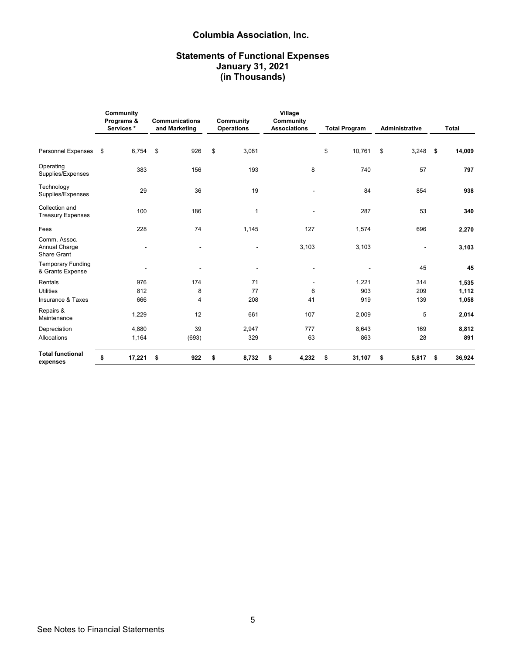# **Statements of Functional Expenses January 31, 2021 (in Thousands)**

|                                                     | Community<br>Programs &<br>Services* |                          |    |        | <b>Communications</b><br>and Marketing |    | Community<br><b>Operations</b> |    | Village<br>Community<br><b>Associations</b> |    | <b>Total Program</b>     |  | <b>Administrative</b> |  | <b>Total</b> |  |
|-----------------------------------------------------|--------------------------------------|--------------------------|----|--------|----------------------------------------|----|--------------------------------|----|---------------------------------------------|----|--------------------------|--|-----------------------|--|--------------|--|
| <b>Personnel Expenses</b>                           | \$                                   | 6,754                    | \$ | 926    | \$<br>3,081                            |    |                                | \$ | 10,761                                      | \$ | $3,248$ \$               |  | 14,009                |  |              |  |
| Operating<br>Supplies/Expenses                      |                                      | 383                      |    | 156    | 193                                    |    | 8                              |    | 740                                         |    | 57                       |  | 797                   |  |              |  |
| Technology<br>Supplies/Expenses                     |                                      | 29                       |    | 36     | 19                                     |    |                                |    | 84                                          |    | 854                      |  | 938                   |  |              |  |
| Collection and<br><b>Treasury Expenses</b>          |                                      | 100                      |    | 186    | 1                                      |    |                                |    | 287                                         |    | 53                       |  | 340                   |  |              |  |
| Fees                                                |                                      | 228                      |    | 74     | 1,145                                  |    | 127                            |    | 1,574                                       |    | 696                      |  | 2,270                 |  |              |  |
| Comm. Assoc.<br>Annual Charge<br><b>Share Grant</b> |                                      | $\overline{a}$           |    | $\sim$ | $\blacksquare$                         |    | 3,103                          |    | 3,103                                       |    | $\overline{\phantom{a}}$ |  | 3,103                 |  |              |  |
| <b>Temporary Funding</b><br>& Grants Expense        |                                      | $\overline{\phantom{a}}$ |    |        | $\overline{\phantom{a}}$               |    |                                |    |                                             |    | 45                       |  | 45                    |  |              |  |
| Rentals                                             |                                      | 976                      |    | 174    | 71                                     |    |                                |    | 1,221                                       |    | 314                      |  | 1,535                 |  |              |  |
| <b>Utilities</b>                                    |                                      | 812                      |    | 8      | 77                                     |    | 6                              |    | 903                                         |    | 209                      |  | 1,112                 |  |              |  |
| Insurance & Taxes                                   |                                      | 666                      |    | 4      | 208                                    |    | 41                             |    | 919                                         |    | 139                      |  | 1,058                 |  |              |  |
| Repairs &<br>Maintenance                            |                                      | 1,229                    |    | 12     | 661                                    |    | 107                            |    | 2,009                                       |    | 5                        |  | 2,014                 |  |              |  |
| Depreciation                                        |                                      | 4,880                    |    | 39     | 2,947                                  |    | 777                            |    | 8,643                                       |    | 169                      |  | 8,812                 |  |              |  |
| Allocations                                         |                                      | 1,164                    |    | (693)  | 329                                    |    | 63                             |    | 863                                         |    | 28                       |  | 891                   |  |              |  |
| <b>Total functional</b><br>expenses                 | \$                                   | 17,221                   | \$ | 922    | \$<br>8,732                            | \$ | 4,232                          | \$ | 31,107                                      | \$ | $5,817$ \$               |  | 36,924                |  |              |  |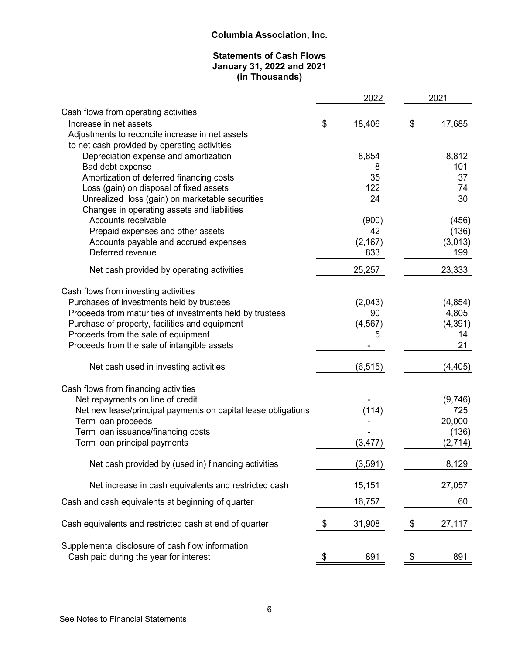# **Statements of Cash Flows January 31, 2022 and 2021 (in Thousands)**

|                                                                                                 | 2022         | 2021           |
|-------------------------------------------------------------------------------------------------|--------------|----------------|
| Cash flows from operating activities                                                            |              |                |
| Increase in net assets                                                                          | \$<br>18,406 | \$<br>17,685   |
| Adjustments to reconcile increase in net assets<br>to net cash provided by operating activities |              |                |
| Depreciation expense and amortization                                                           | 8,854        | 8,812          |
| Bad debt expense                                                                                | 8            | 101            |
| Amortization of deferred financing costs                                                        | 35           | 37             |
| Loss (gain) on disposal of fixed assets                                                         | 122          | 74             |
| Unrealized loss (gain) on marketable securities                                                 | 24           | 30             |
| Changes in operating assets and liabilities<br>Accounts receivable                              |              |                |
| Prepaid expenses and other assets                                                               | (900)<br>42  | (456)<br>(136) |
| Accounts payable and accrued expenses                                                           | (2, 167)     | (3,013)        |
| Deferred revenue                                                                                | 833          | 199            |
| Net cash provided by operating activities                                                       | 25,257       | 23,333         |
| Cash flows from investing activities                                                            |              |                |
| Purchases of investments held by trustees                                                       | (2,043)      | (4, 854)       |
| Proceeds from maturities of investments held by trustees                                        | 90           | 4,805          |
| Purchase of property, facilities and equipment                                                  | (4, 567)     | (4, 391)       |
| Proceeds from the sale of equipment                                                             | 5            | 14             |
| Proceeds from the sale of intangible assets                                                     |              | 21             |
| Net cash used in investing activities                                                           | (6, 515)     | (4, 405)       |
| Cash flows from financing activities                                                            |              |                |
| Net repayments on line of credit                                                                |              | (9,746)        |
| Net new lease/principal payments on capital lease obligations                                   | (114)        | 725            |
| Term loan proceeds                                                                              |              | 20,000         |
| Term loan issuance/financing costs                                                              |              | (136)          |
| Term loan principal payments                                                                    | (3, 477)     | (2,714)        |
| Net cash provided by (used in) financing activities                                             | (3, 591)     | 8,129          |
| Net increase in cash equivalents and restricted cash                                            | 15,151       | 27,057         |
| Cash and cash equivalents at beginning of quarter                                               | 16,757       | 60             |
| Cash equivalents and restricted cash at end of quarter                                          | \$<br>31,908 | \$<br>27,117   |
|                                                                                                 |              |                |
| Supplemental disclosure of cash flow information                                                |              |                |
| Cash paid during the year for interest                                                          | \$<br>891    | \$<br>891      |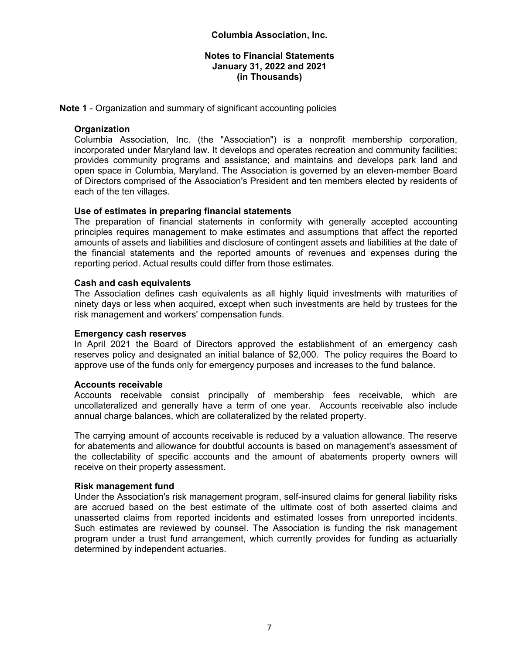**Note 1** - Organization and summary of significant accounting policies

# **Organization**

Columbia Association, Inc. (the "Association") is a nonprofit membership corporation, incorporated under Maryland law. It develops and operates recreation and community facilities; provides community programs and assistance; and maintains and develops park land and open space in Columbia, Maryland. The Association is governed by an eleven-member Board of Directors comprised of the Association's President and ten members elected by residents of each of the ten villages.

# **Use of estimates in preparing financial statements**

The preparation of financial statements in conformity with generally accepted accounting principles requires management to make estimates and assumptions that affect the reported amounts of assets and liabilities and disclosure of contingent assets and liabilities at the date of the financial statements and the reported amounts of revenues and expenses during the reporting period. Actual results could differ from those estimates.

# **Cash and cash equivalents**

The Association defines cash equivalents as all highly liquid investments with maturities of ninety days or less when acquired, except when such investments are held by trustees for the risk management and workers' compensation funds.

#### **Emergency cash reserves**

In April 2021 the Board of Directors approved the establishment of an emergency cash reserves policy and designated an initial balance of \$2,000. The policy requires the Board to approve use of the funds only for emergency purposes and increases to the fund balance.

#### **Accounts receivable**

Accounts receivable consist principally of membership fees receivable, which are uncollateralized and generally have a term of one year. Accounts receivable also include annual charge balances, which are collateralized by the related property.

The carrying amount of accounts receivable is reduced by a valuation allowance. The reserve for abatements and allowance for doubtful accounts is based on management's assessment of the collectability of specific accounts and the amount of abatements property owners will receive on their property assessment.

#### **Risk management fund**

Under the Association's risk management program, self-insured claims for general liability risks are accrued based on the best estimate of the ultimate cost of both asserted claims and unasserted claims from reported incidents and estimated losses from unreported incidents. Such estimates are reviewed by counsel. The Association is funding the risk management program under a trust fund arrangement, which currently provides for funding as actuarially determined by independent actuaries.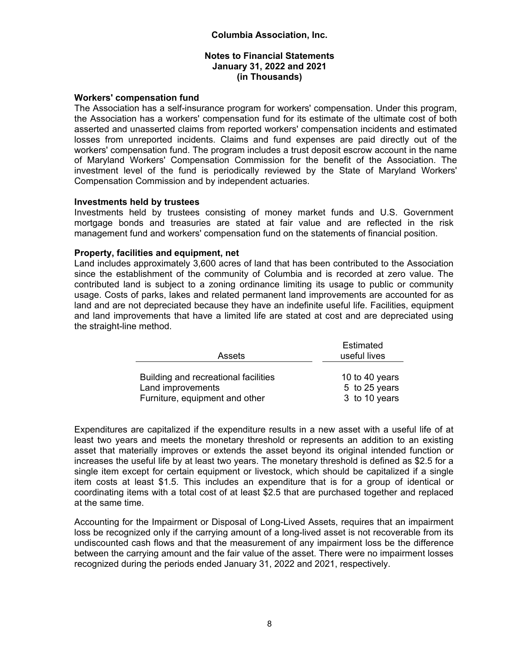#### **Notes to Financial Statements January 31, 2022 and 2021 (in Thousands)**

#### **Workers' compensation fund**

The Association has a self-insurance program for workers' compensation. Under this program, the Association has a workers' compensation fund for its estimate of the ultimate cost of both asserted and unasserted claims from reported workers' compensation incidents and estimated losses from unreported incidents. Claims and fund expenses are paid directly out of the workers' compensation fund. The program includes a trust deposit escrow account in the name of Maryland Workers' Compensation Commission for the benefit of the Association. The investment level of the fund is periodically reviewed by the State of Maryland Workers' Compensation Commission and by independent actuaries.

#### **Investments held by trustees**

Investments held by trustees consisting of money market funds and U.S. Government mortgage bonds and treasuries are stated at fair value and are reflected in the risk management fund and workers' compensation fund on the statements of financial position.

#### **Property, facilities and equipment, net**

Land includes approximately 3,600 acres of land that has been contributed to the Association since the establishment of the community of Columbia and is recorded at zero value. The contributed land is subject to a zoning ordinance limiting its usage to public or community usage. Costs of parks, lakes and related permanent land improvements are accounted for as land and are not depreciated because they have an indefinite useful life. Facilities, equipment and land improvements that have a limited life are stated at cost and are depreciated using the straight-line method.

| Assets                               | Estimated<br>useful lives |
|--------------------------------------|---------------------------|
|                                      |                           |
| Building and recreational facilities | 10 to 40 years            |
| Land improvements                    | 5 to 25 years             |
| Furniture, equipment and other       | 3 to 10 years             |

Expenditures are capitalized if the expenditure results in a new asset with a useful life of at least two years and meets the monetary threshold or represents an addition to an existing asset that materially improves or extends the asset beyond its original intended function or increases the useful life by at least two years. The monetary threshold is defined as \$2.5 for a single item except for certain equipment or livestock, which should be capitalized if a single item costs at least \$1.5. This includes an expenditure that is for a group of identical or coordinating items with a total cost of at least \$2.5 that are purchased together and replaced at the same time.

Accounting for the Impairment or Disposal of Long-Lived Assets, requires that an impairment loss be recognized only if the carrying amount of a long-lived asset is not recoverable from its undiscounted cash flows and that the measurement of any impairment loss be the difference between the carrying amount and the fair value of the asset. There were no impairment losses recognized during the periods ended January 31, 2022 and 2021, respectively.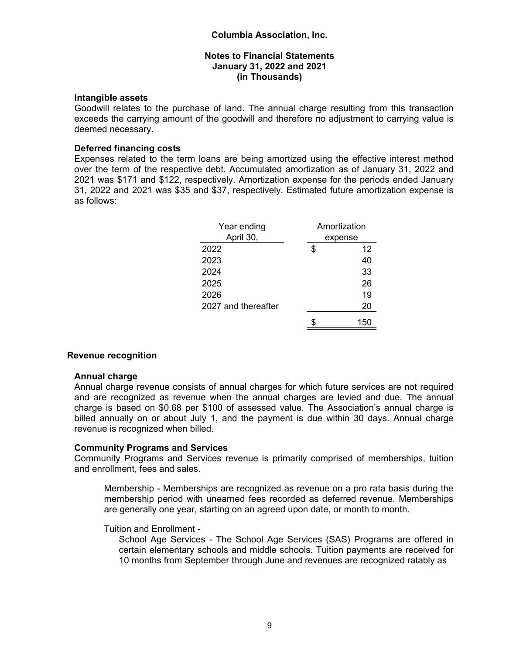# **Intangible assets**

Goodwill relates to the purchase of land. The annual charge resulting from this transaction exceeds the carrying amount of the goodwill and therefore no adjustment to carrying value is deemed necessary.

# **Deferred financing costs**

Expenses related to the term loans are being amortized using the effective interest method over the term of the respective debt. Accumulated amortization as of January 31, 2022 and 2021 was \$171 and \$122, respectively. Amortization expense for the periods ended January 31, 2022 and 2021 was \$35 and \$37, respectively. Estimated future amortization expense is as follows:

| Year ending         | Amortization |
|---------------------|--------------|
| April 30,           | expense      |
| 2022                | \$<br>12     |
| 2023                | 40           |
| 2024                | 33           |
| 2025                | 26           |
| 2026                | 19           |
| 2027 and thereafter | 20           |
|                     | 150          |

# **Revenue recognition**

#### **Annual charge**

Annual charge revenue consists of annual charges for which future services are not required and are recognized as revenue when the annual charges are levied and due. The annual charge is based on \$0.68 per \$100 of assessed value. The Association's annual charge is billed annually on or about July 1, and the payment is due within 30 days. Annual charge revenue is recognized when billed.

# **Community Programs and Services**

Community Programs and Services revenue is primarily comprised of memberships, tuition and enrollment, fees and sales.

Membership - Memberships are recognized as revenue on a pro rata basis during the membership period with unearned fees recorded as deferred revenue. Memberships are generally one year, starting on an agreed upon date, or month to month.

#### Tuition and Enrollment -

School Age Services - The School Age Services (SAS) Programs are offered in certain elementary schools and middle schools. Tuition payments are received for 10 months from September through June and revenues are recognized ratably as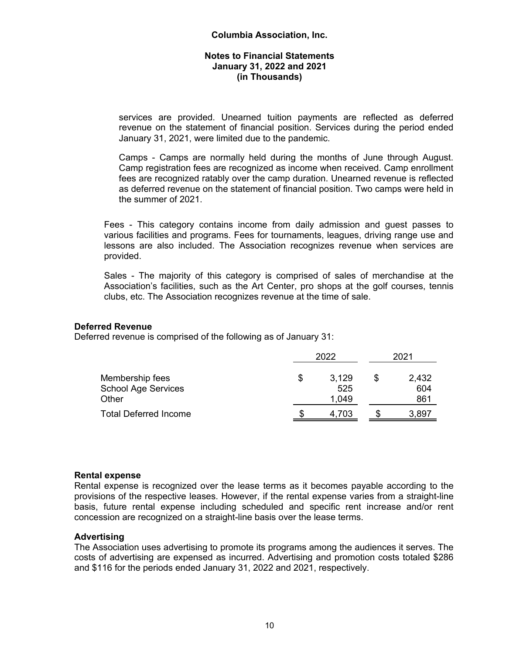services are provided. Unearned tuition payments are reflected as deferred revenue on the statement of financial position. Services during the period ended January 31, 2021, were limited due to the pandemic.

Camps - Camps are normally held during the months of June through August. Camp registration fees are recognized as income when received. Camp enrollment fees are recognized ratably over the camp duration. Unearned revenue is reflected as deferred revenue on the statement of financial position. Two camps were held in the summer of 2021.

Fees - This category contains income from daily admission and guest passes to various facilities and programs. Fees for tournaments, leagues, driving range use and lessons are also included. The Association recognizes revenue when services are provided.

Sales - The majority of this category is comprised of sales of merchandise at the Association's facilities, such as the Art Center, pro shops at the golf courses, tennis clubs, etc. The Association recognizes revenue at the time of sale.

# **Deferred Revenue**

Deferred revenue is comprised of the following as of January 31:

|                              | 2022 | 2021  |       |
|------------------------------|------|-------|-------|
| Membership fees              | S    | 3,129 | 2,432 |
| <b>School Age Services</b>   |      | 525   | 604   |
| Other                        |      | 1,049 | 861   |
| <b>Total Deferred Income</b> | S    | 4,703 | 3,897 |

#### **Rental expense**

Rental expense is recognized over the lease terms as it becomes payable according to the provisions of the respective leases. However, if the rental expense varies from a straight-line basis, future rental expense including scheduled and specific rent increase and/or rent concession are recognized on a straight-line basis over the lease terms.

#### **Advertising**

The Association uses advertising to promote its programs among the audiences it serves. The costs of advertising are expensed as incurred. Advertising and promotion costs totaled \$286 and \$116 for the periods ended January 31, 2022 and 2021, respectively.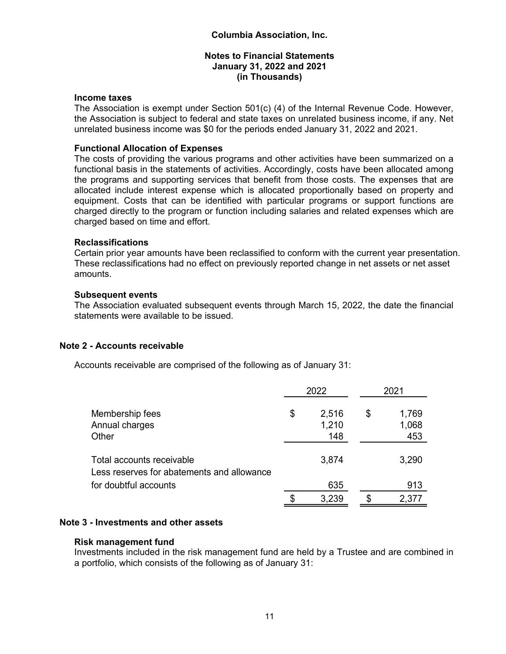#### **Income taxes**

The Association is exempt under Section 501(c) (4) of the Internal Revenue Code. However, the Association is subject to federal and state taxes on unrelated business income, if any. Net unrelated business income was \$0 for the periods ended January 31, 2022 and 2021.

#### **Functional Allocation of Expenses**

The costs of providing the various programs and other activities have been summarized on a functional basis in the statements of activities. Accordingly, costs have been allocated among the programs and supporting services that benefit from those costs. The expenses that are allocated include interest expense which is allocated proportionally based on property and equipment. Costs that can be identified with particular programs or support functions are charged directly to the program or function including salaries and related expenses which are charged based on time and effort.

#### **Reclassifications**

Certain prior year amounts have been reclassified to conform with the current year presentation. These reclassifications had no effect on previously reported change in net assets or net asset amounts.

#### **Subsequent events**

The Association evaluated subsequent events through March 15, 2022, the date the financial statements were available to be issued.

# **Note 2 - Accounts receivable**

Accounts receivable are comprised of the following as of January 31:

|                                                                                                  | 2022                        | 2021                        |  |  |
|--------------------------------------------------------------------------------------------------|-----------------------------|-----------------------------|--|--|
| Membership fees<br>Annual charges<br>Other                                                       | \$<br>2,516<br>1,210<br>148 | \$<br>1,769<br>1,068<br>453 |  |  |
| Total accounts receivable<br>Less reserves for abatements and allowance<br>for doubtful accounts | 3,874<br>635                | 3,290<br>913                |  |  |
|                                                                                                  |                             |                             |  |  |
|                                                                                                  | \$<br>3,239                 | \$<br>2,377                 |  |  |

# **Note 3 - Investments and other assets**

#### **Risk management fund**

Investments included in the risk management fund are held by a Trustee and are combined in a portfolio, which consists of the following as of January 31: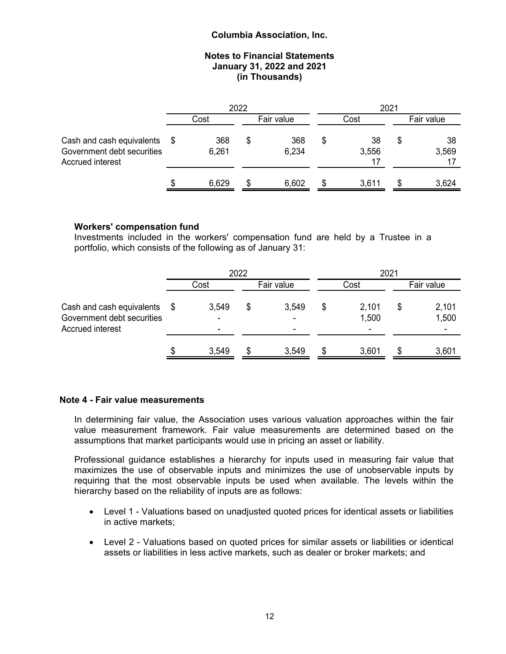#### **Notes to Financial Statements January 31, 2022 and 2021 (in Thousands)**

|                                                                             |   |              | 2022 |              | 2021 |                   |  |             |  |  |
|-----------------------------------------------------------------------------|---|--------------|------|--------------|------|-------------------|--|-------------|--|--|
|                                                                             |   | Cost         |      | Fair value   |      | Cost              |  | Fair value  |  |  |
| Cash and cash equivalents<br>Government debt securities<br>Accrued interest |   | 368<br>6,261 | \$   | 368<br>6,234 |      | 38<br>3,556<br>17 |  | 38<br>3,569 |  |  |
|                                                                             | S | 6,629        | S    | 6,602        |      | 3,611             |  | 3,624       |  |  |

# **Workers' compensation fund**

Investments included in the workers' compensation fund are held by a Trustee in a portfolio, which consists of the following as of January 31:

|                                                                             |      | 2022            |            |            |   | 2021                             |            |                |  |  |  |
|-----------------------------------------------------------------------------|------|-----------------|------------|------------|---|----------------------------------|------------|----------------|--|--|--|
|                                                                             | Cost |                 | Fair value |            |   | Cost                             | Fair value |                |  |  |  |
| Cash and cash equivalents<br>Government debt securities<br>Accrued interest | - \$ | 3,549<br>۰<br>۰ | \$         | 3,549<br>۰ | S | 2,101<br>1,500<br>$\blacksquare$ | S          | 2,101<br>1,500 |  |  |  |
|                                                                             | S    | 3,549           |            | 3,549      |   | 3,601                            |            | 3,601          |  |  |  |

#### **Note 4 - Fair value measurements**

In determining fair value, the Association uses various valuation approaches within the fair value measurement framework. Fair value measurements are determined based on the assumptions that market participants would use in pricing an asset or liability.

Professional guidance establishes a hierarchy for inputs used in measuring fair value that maximizes the use of observable inputs and minimizes the use of unobservable inputs by requiring that the most observable inputs be used when available. The levels within the hierarchy based on the reliability of inputs are as follows:

- Level 1 Valuations based on unadjusted quoted prices for identical assets or liabilities in active markets;
- Level 2 Valuations based on quoted prices for similar assets or liabilities or identical assets or liabilities in less active markets, such as dealer or broker markets; and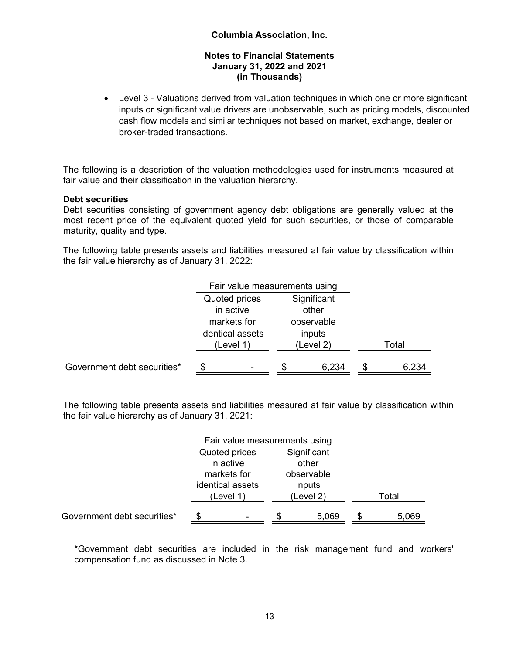Level 3 - Valuations derived from valuation techniques in which one or more significant inputs or significant value drivers are unobservable, such as pricing models, discounted cash flow models and similar techniques not based on market, exchange, dealer or broker-traded transactions.

The following is a description of the valuation methodologies used for instruments measured at fair value and their classification in the valuation hierarchy.

# **Debt securities**

Debt securities consisting of government agency debt obligations are generally valued at the most recent price of the equivalent quoted yield for such securities, or those of comparable maturity, quality and type.

The following table presents assets and liabilities measured at fair value by classification within the fair value hierarchy as of January 31, 2022:

|                             | Fair value measurements using |            |   |       |  |
|-----------------------------|-------------------------------|------------|---|-------|--|
|                             | Quoted prices                 |            |   |       |  |
|                             | in active<br>other            |            |   |       |  |
|                             | observable<br>markets for     |            |   |       |  |
|                             | identical assets              | inputs     |   |       |  |
|                             | (Level 1)                     | Total      |   |       |  |
|                             |                               |            |   |       |  |
| Government debt securities* | S                             | 6,234<br>S | S | 6,234 |  |

The following table presents assets and liabilities measured at fair value by classification within the fair value hierarchy as of January 31, 2021:

|                             |                              | Fair value measurements using |       |            |  |       |  |
|-----------------------------|------------------------------|-------------------------------|-------|------------|--|-------|--|
|                             | Quoted prices<br>Significant |                               |       |            |  |       |  |
|                             |                              | in active                     | other |            |  |       |  |
|                             |                              | markets for                   |       | observable |  |       |  |
|                             |                              | identical assets              |       | inputs     |  |       |  |
|                             |                              | (Level 1)                     |       | (Level 2)  |  | Total |  |
| Government debt securities* |                              |                               |       | 5,069      |  | 5,069 |  |

\*Government debt securities are included in the risk management fund and workers' compensation fund as discussed in Note 3.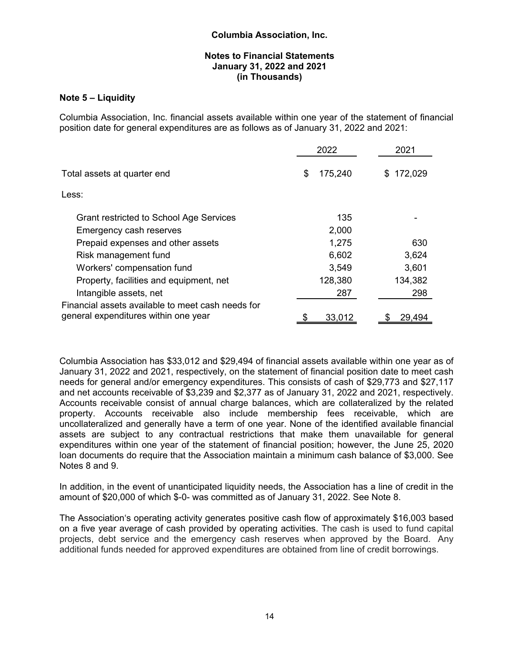#### **Notes to Financial Statements January 31, 2022 and 2021 (in Thousands)**

# **Note 5 – Liquidity**

Columbia Association, Inc. financial assets available within one year of the statement of financial position date for general expenditures are as follows as of January 31, 2022 and 2021:

|                                                   | 2022          | 2021    |
|---------------------------------------------------|---------------|---------|
| Total assets at quarter end                       | 175,240<br>\$ | 172,029 |
| Less:                                             |               |         |
| Grant restricted to School Age Services           | 135           |         |
| Emergency cash reserves                           | 2,000         |         |
| Prepaid expenses and other assets                 | 1,275         | 630     |
| Risk management fund                              | 6,602         | 3,624   |
| Workers' compensation fund                        | 3,549         | 3,601   |
| Property, facilities and equipment, net           | 128,380       | 134,382 |
| Intangible assets, net                            | 287           | 298     |
| Financial assets available to meet cash needs for |               |         |
| general expenditures within one year              | 33,012        | 29,494  |

Columbia Association has \$33,012 and \$29,494 of financial assets available within one year as of January 31, 2022 and 2021, respectively, on the statement of financial position date to meet cash needs for general and/or emergency expenditures. This consists of cash of \$29,773 and \$27,117 and net accounts receivable of \$3,239 and \$2,377 as of January 31, 2022 and 2021, respectively. Accounts receivable consist of annual charge balances, which are collateralized by the related property. Accounts receivable also include membership fees receivable, which are uncollateralized and generally have a term of one year. None of the identified available financial assets are subject to any contractual restrictions that make them unavailable for general expenditures within one year of the statement of financial position; however, the June 25, 2020 loan documents do require that the Association maintain a minimum cash balance of \$3,000. See Notes 8 and 9.

In addition, in the event of unanticipated liquidity needs, the Association has a line of credit in the amount of \$20,000 of which \$-0- was committed as of January 31, 2022. See Note 8.

The Association's operating activity generates positive cash flow of approximately \$16,003 based on a five year average of cash provided by operating activities. The cash is used to fund capital projects, debt service and the emergency cash reserves when approved by the Board. Any additional funds needed for approved expenditures are obtained from line of credit borrowings.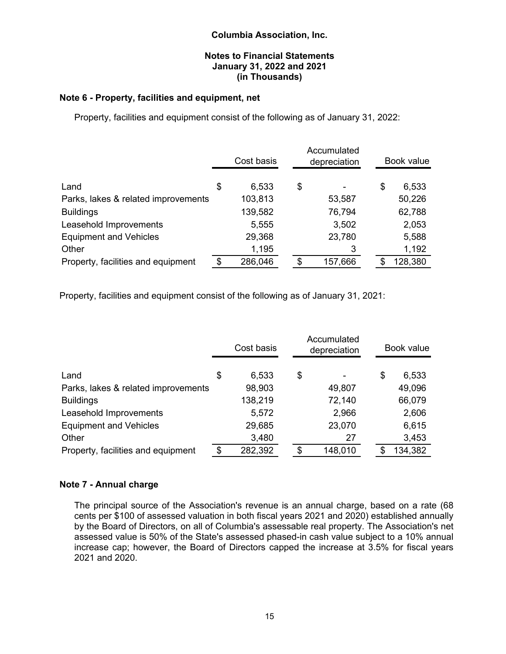# **Notes to Financial Statements January 31, 2022 and 2021 (in Thousands)**

# **Note 6 - Property, facilities and equipment, net**

Property, facilities and equipment consist of the following as of January 31, 2022:

|                                     | Cost basis    | Accumulated<br>depreciation |    | Book value |
|-------------------------------------|---------------|-----------------------------|----|------------|
| Land                                | \$<br>6,533   | \$                          | \$ | 6,533      |
| Parks, lakes & related improvements | 103,813       | 53,587                      |    | 50,226     |
| <b>Buildings</b>                    | 139,582       | 76,794                      |    | 62,788     |
| Leasehold Improvements              | 5,555         | 3,502                       |    | 2,053      |
| <b>Equipment and Vehicles</b>       | 29,368        | 23,780                      |    | 5,588      |
| Other                               | 1,195         | 3                           |    | 1,192      |
| Property, facilities and equipment  | \$<br>286,046 | \$<br>157,666               | S  | 128,380    |

Property, facilities and equipment consist of the following as of January 31, 2021:

|                                     | Cost basis    | Accumulated<br>depreciation | Book value  |
|-------------------------------------|---------------|-----------------------------|-------------|
| Land                                | \$<br>6,533   | \$                          | \$<br>6,533 |
| Parks, lakes & related improvements | 98,903        | 49,807                      | 49,096      |
| <b>Buildings</b>                    | 138,219       | 72,140                      | 66,079      |
| Leasehold Improvements              | 5,572         | 2,966                       | 2,606       |
| <b>Equipment and Vehicles</b>       | 29,685        | 23,070                      | 6,615       |
| Other                               | 3,480         | 27                          | 3,453       |
| Property, facilities and equipment  | \$<br>282,392 | \$<br>148,010               | 134,382     |

#### **Note 7 - Annual charge**

The principal source of the Association's revenue is an annual charge, based on a rate (68 cents per \$100 of assessed valuation in both fiscal years 2021 and 2020) established annually by the Board of Directors, on all of Columbia's assessable real property. The Association's net assessed value is 50% of the State's assessed phased-in cash value subject to a 10% annual increase cap; however, the Board of Directors capped the increase at 3.5% for fiscal years 2021 and 2020.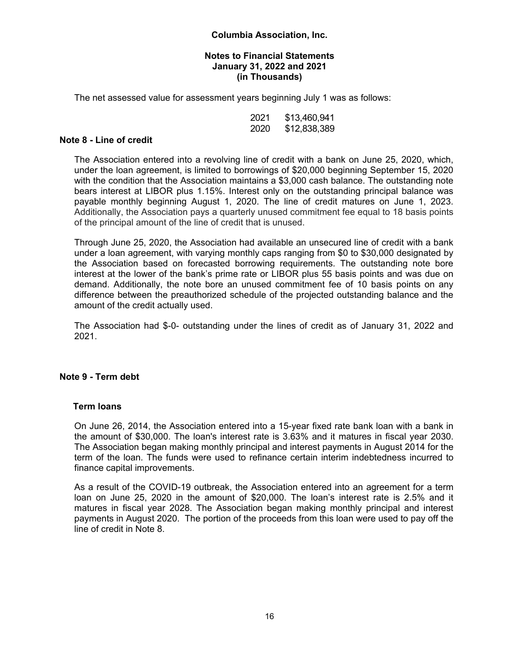#### **Notes to Financial Statements January 31, 2022 and 2021 (in Thousands)**

The net assessed value for assessment years beginning July 1 was as follows:

| 2021 | \$13,460,941 |
|------|--------------|
| 2020 | \$12,838,389 |

#### **Note 8 - Line of credit**

The Association entered into a revolving line of credit with a bank on June 25, 2020, which, under the loan agreement, is limited to borrowings of \$20,000 beginning September 15, 2020 with the condition that the Association maintains a \$3,000 cash balance. The outstanding note bears interest at LIBOR plus 1.15%. Interest only on the outstanding principal balance was payable monthly beginning August 1, 2020. The line of credit matures on June 1, 2023. Additionally, the Association pays a quarterly unused commitment fee equal to 18 basis points of the principal amount of the line of credit that is unused.

Through June 25, 2020, the Association had available an unsecured line of credit with a bank under a loan agreement, with varying monthly caps ranging from \$0 to \$30,000 designated by the Association based on forecasted borrowing requirements. The outstanding note bore interest at the lower of the bank's prime rate or LIBOR plus 55 basis points and was due on demand. Additionally, the note bore an unused commitment fee of 10 basis points on any difference between the preauthorized schedule of the projected outstanding balance and the amount of the credit actually used.

The Association had \$-0- outstanding under the lines of credit as of January 31, 2022 and 2021.

#### **Note 9 - Term debt**

#### **Term loans**

On June 26, 2014, the Association entered into a 15-year fixed rate bank loan with a bank in the amount of \$30,000. The loan's interest rate is 3.63% and it matures in fiscal year 2030. The Association began making monthly principal and interest payments in August 2014 for the term of the loan. The funds were used to refinance certain interim indebtedness incurred to finance capital improvements.

As a result of the COVID-19 outbreak, the Association entered into an agreement for a term loan on June 25, 2020 in the amount of \$20,000. The loan's interest rate is 2.5% and it matures in fiscal year 2028. The Association began making monthly principal and interest payments in August 2020. The portion of the proceeds from this loan were used to pay off the line of credit in Note 8.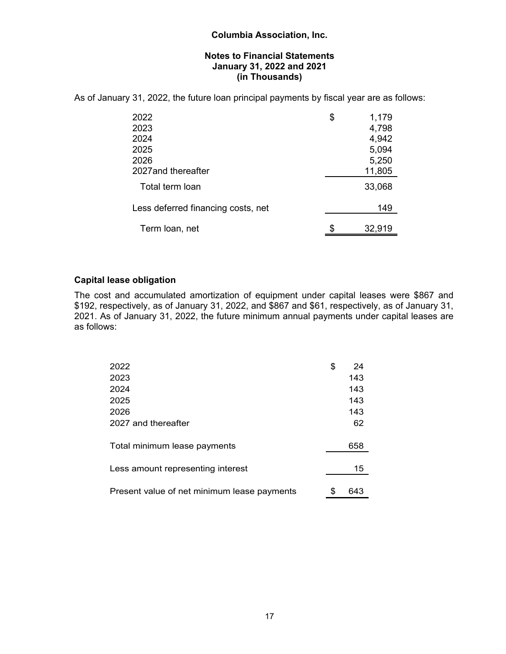As of January 31, 2022, the future loan principal payments by fiscal year are as follows:

| 2022                               | \$<br>1,179  |
|------------------------------------|--------------|
| 2023                               | 4,798        |
| 2024                               | 4,942        |
| 2025                               | 5,094        |
| 2026                               | 5,250        |
| 2027 and thereafter                | 11,805       |
| Total term loan                    | 33,068       |
| Less deferred financing costs, net | 149          |
| Term loan, net                     | \$<br>32,919 |

# **Capital lease obligation**

The cost and accumulated amortization of equipment under capital leases were \$867 and \$192, respectively, as of January 31, 2022, and \$867 and \$61, respectively, as of January 31, 2021. As of January 31, 2022, the future minimum annual payments under capital leases are as follows:

| 2022                                        | \$<br>24  |
|---------------------------------------------|-----------|
| 2023                                        | 143       |
| 2024                                        | 143       |
| 2025                                        | 143       |
| 2026                                        | 143       |
| 2027 and thereafter                         | 62        |
| Total minimum lease payments                | 658       |
| Less amount representing interest           | 15        |
| Present value of net minimum lease payments | \$<br>643 |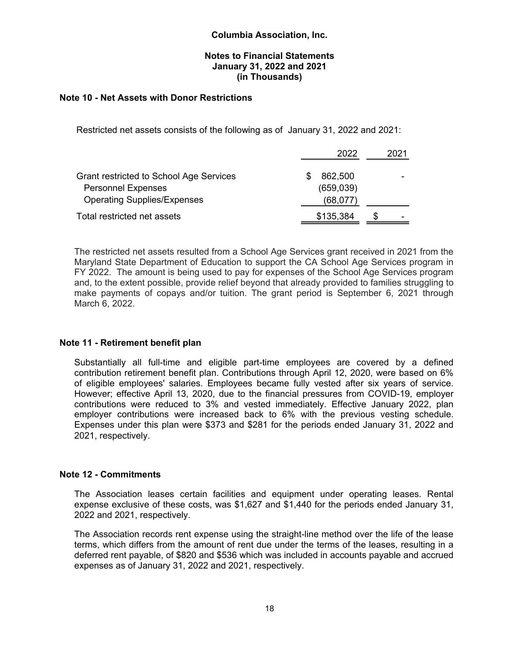#### **Notes to Financial Statements January 31, 2022 and 2021 (in Thousands)**

# **Note 10 - Net Assets with Donor Restrictions**

Restricted net assets consists of the following as of January 31, 2022 and 2021:

|                                         | 2022      | 2021 |
|-----------------------------------------|-----------|------|
| Grant restricted to School Age Services | 862,500   |      |
| <b>Personnel Expenses</b>               | (659,039) |      |
| <b>Operating Supplies/Expenses</b>      | (68,077)  |      |
| Total restricted net assets             | \$135,384 | ۰    |

The restricted net assets resulted from a School Age Services grant received in 2021 from the Maryland State Department of Education to support the CA School Age Services program in FY 2022. The amount is being used to pay for expenses of the School Age Services program and, to the extent possible, provide relief beyond that already provided to families struggling to make payments of copays and/or tuition. The grant period is September 6, 2021 through March 6, 2022.

#### **Note 11 - Retirement benefit plan**

Substantially all full-time and eligible part-time employees are covered by a defined contribution retirement benefit plan. Contributions through April 12, 2020, were based on 6% of eligible employees' salaries. Employees became fully vested after six years of service. However; effective April 13, 2020, due to the financial pressures from COVID-19, employer contributions were reduced to 3% and vested immediately. Effective January 2022, plan employer contributions were increased back to 6% with the previous vesting schedule. Expenses under this plan were \$373 and \$281 for the periods ended January 31, 2022 and 2021, respectively.

#### **Note 12 - Commitments**

The Association leases certain facilities and equipment under operating leases. Rental expense exclusive of these costs, was \$1,627 and \$1,440 for the periods ended January 31, 2022 and 2021, respectively.

The Association records rent expense using the straight-line method over the life of the lease terms, which differs from the amount of rent due under the terms of the leases, resulting in a deferred rent payable, of \$820 and \$536 which was included in accounts payable and accrued expenses as of January 31, 2022 and 2021, respectively.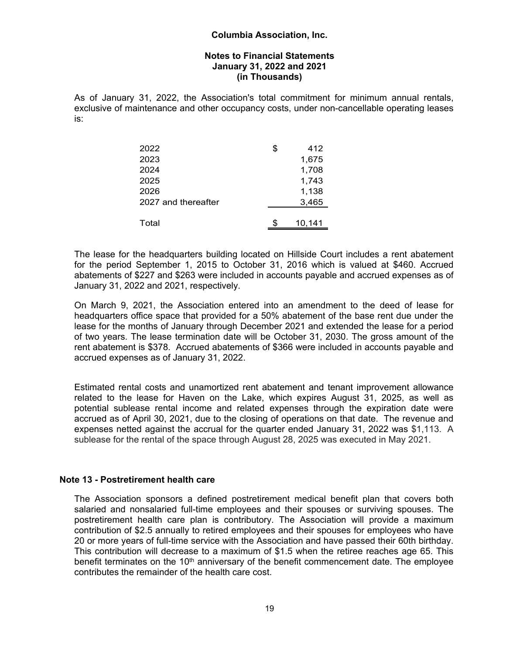#### **Notes to Financial Statements January 31, 2022 and 2021 (in Thousands)**

As of January 31, 2022, the Association's total commitment for minimum annual rentals, exclusive of maintenance and other occupancy costs, under non-cancellable operating leases is:

| 2022                | \$ | 412    |
|---------------------|----|--------|
| 2023                |    | 1,675  |
| 2024                |    | 1,708  |
| 2025                |    | 1,743  |
| 2026                |    | 1,138  |
| 2027 and thereafter |    | 3,465  |
|                     |    |        |
| Total               | S  | 10,141 |

The lease for the headquarters building located on Hillside Court includes a rent abatement for the period September 1, 2015 to October 31, 2016 which is valued at \$460. Accrued abatements of \$227 and \$263 were included in accounts payable and accrued expenses as of January 31, 2022 and 2021, respectively.

On March 9, 2021, the Association entered into an amendment to the deed of lease for headquarters office space that provided for a 50% abatement of the base rent due under the lease for the months of January through December 2021 and extended the lease for a period of two years. The lease termination date will be October 31, 2030. The gross amount of the rent abatement is \$378. Accrued abatements of \$366 were included in accounts payable and accrued expenses as of January 31, 2022.

Estimated rental costs and unamortized rent abatement and tenant improvement allowance related to the lease for Haven on the Lake, which expires August 31, 2025, as well as potential sublease rental income and related expenses through the expiration date were accrued as of April 30, 2021, due to the closing of operations on that date. The revenue and expenses netted against the accrual for the quarter ended January 31, 2022 was \$1,113. A sublease for the rental of the space through August 28, 2025 was executed in May 2021.

# **Note 13 - Postretirement health care**

The Association sponsors a defined postretirement medical benefit plan that covers both salaried and nonsalaried full-time employees and their spouses or surviving spouses. The postretirement health care plan is contributory. The Association will provide a maximum contribution of \$2.5 annually to retired employees and their spouses for employees who have 20 or more years of full-time service with the Association and have passed their 60th birthday. This contribution will decrease to a maximum of \$1.5 when the retiree reaches age 65. This benefit terminates on the  $10<sup>th</sup>$  anniversary of the benefit commencement date. The employee contributes the remainder of the health care cost.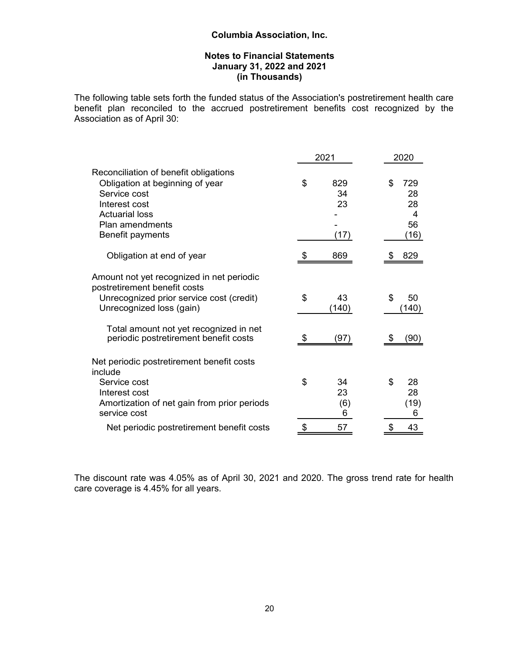# **Notes to Financial Statements January 31, 2022 and 2021 (in Thousands)**

The following table sets forth the funded status of the Association's postretirement health care benefit plan reconciled to the accrued postretirement benefits cost recognized by the Association as of April 30:

|                                                                                                                                                                                             |    | 2021                    | 2020                                     |  |  |
|---------------------------------------------------------------------------------------------------------------------------------------------------------------------------------------------|----|-------------------------|------------------------------------------|--|--|
| Reconciliation of benefit obligations<br>Obligation at beginning of year<br>Service cost<br>Interest cost<br><b>Actuarial loss</b><br>Plan amendments<br>Benefit payments                   | \$ | 829<br>34<br>23<br>(17) | \$<br>729<br>28<br>28<br>4<br>56<br>(16) |  |  |
| Obligation at end of year                                                                                                                                                                   | S  | 869                     | 829                                      |  |  |
| Amount not yet recognized in net periodic<br>postretirement benefit costs<br>Unrecognized prior service cost (credit)<br>Unrecognized loss (gain)<br>Total amount not yet recognized in net | \$ | 43<br>(140)             | \$<br>50<br>(140)                        |  |  |
| periodic postretirement benefit costs                                                                                                                                                       |    | (97)                    | (90)                                     |  |  |
| Net periodic postretirement benefit costs<br>include<br>Service cost<br>Interest cost<br>Amortization of net gain from prior periods<br>service cost                                        | \$ | 34<br>23<br>(6)<br>6    | \$<br>28<br>28<br>(19)<br>6              |  |  |
| Net periodic postretirement benefit costs                                                                                                                                                   | \$ | 57                      | \$<br>43                                 |  |  |

The discount rate was 4.05% as of April 30, 2021 and 2020. The gross trend rate for health care coverage is 4.45% for all years.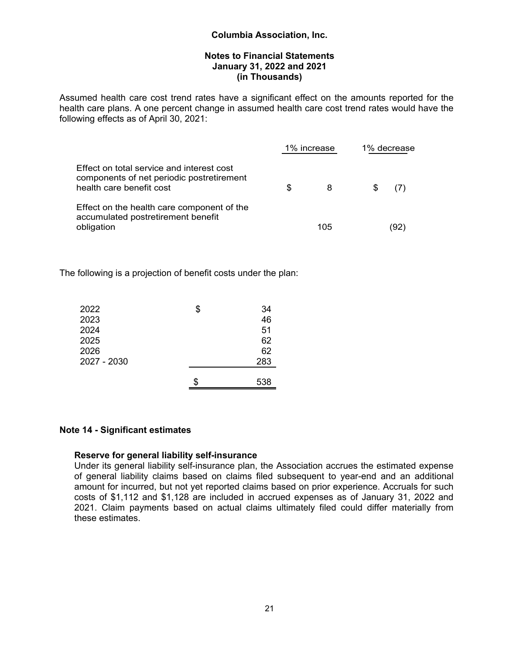#### **Notes to Financial Statements January 31, 2022 and 2021 (in Thousands)**

Assumed health care cost trend rates have a significant effect on the amounts reported for the health care plans. A one percent change in assumed health care cost trend rates would have the following effects as of April 30, 2021:

|                                                                                                                                                                                                        |     | 1% increase |   | 1% decrease |  |  |
|--------------------------------------------------------------------------------------------------------------------------------------------------------------------------------------------------------|-----|-------------|---|-------------|--|--|
| Effect on total service and interest cost<br>components of net periodic postretirement<br>health care benefit cost<br>Effect on the health care component of the<br>accumulated postretirement benefit | \$. | 8           | S |             |  |  |
| obligation                                                                                                                                                                                             |     | 105         |   | '92         |  |  |

The following is a projection of benefit costs under the plan:

| 2022        | \$<br>34 |
|-------------|----------|
| 2023        | 46       |
| 2024        | 51       |
| 2025        | 62       |
| 2026        | 62       |
| 2027 - 2030 | 283      |
|             |          |
|             | 538      |

#### **Note 14 - Significant estimates**

#### **Reserve for general liability self-insurance**

Under its general liability self-insurance plan, the Association accrues the estimated expense of general liability claims based on claims filed subsequent to year-end and an additional amount for incurred, but not yet reported claims based on prior experience. Accruals for such costs of \$1,112 and \$1,128 are included in accrued expenses as of January 31, 2022 and 2021. Claim payments based on actual claims ultimately filed could differ materially from these estimates.